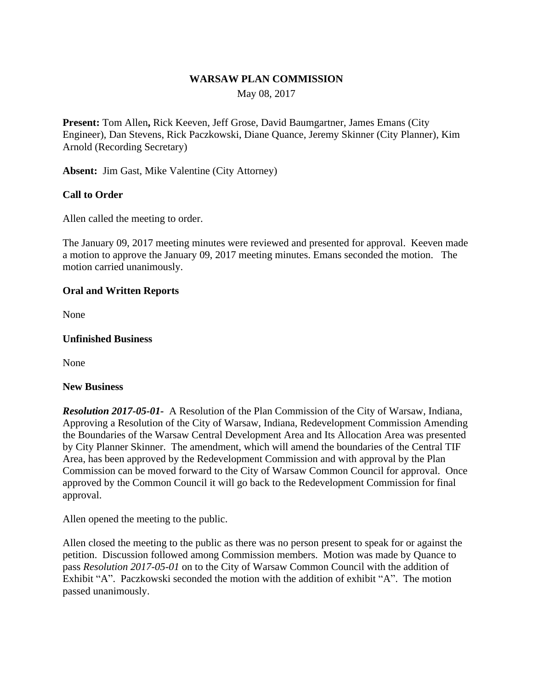## **WARSAW PLAN COMMISSION**

May 08, 2017

**Present:** Tom Allen**,** Rick Keeven, Jeff Grose, David Baumgartner, James Emans (City Engineer), Dan Stevens, Rick Paczkowski, Diane Quance, Jeremy Skinner (City Planner), Kim Arnold (Recording Secretary)

**Absent:** Jim Gast, Mike Valentine (City Attorney)

# **Call to Order**

Allen called the meeting to order.

The January 09, 2017 meeting minutes were reviewed and presented for approval. Keeven made a motion to approve the January 09, 2017 meeting minutes. Emans seconded the motion. The motion carried unanimously.

## **Oral and Written Reports**

None

#### **Unfinished Business**

None

#### **New Business**

*Resolution 2017-05-01-* A Resolution of the Plan Commission of the City of Warsaw, Indiana, Approving a Resolution of the City of Warsaw, Indiana, Redevelopment Commission Amending the Boundaries of the Warsaw Central Development Area and Its Allocation Area was presented by City Planner Skinner. The amendment, which will amend the boundaries of the Central TIF Area, has been approved by the Redevelopment Commission and with approval by the Plan Commission can be moved forward to the City of Warsaw Common Council for approval. Once approved by the Common Council it will go back to the Redevelopment Commission for final approval.

Allen opened the meeting to the public.

Allen closed the meeting to the public as there was no person present to speak for or against the petition. Discussion followed among Commission members. Motion was made by Quance to pass *Resolution 2017-05-01* on to the City of Warsaw Common Council with the addition of Exhibit "A". Paczkowski seconded the motion with the addition of exhibit "A". The motion passed unanimously.